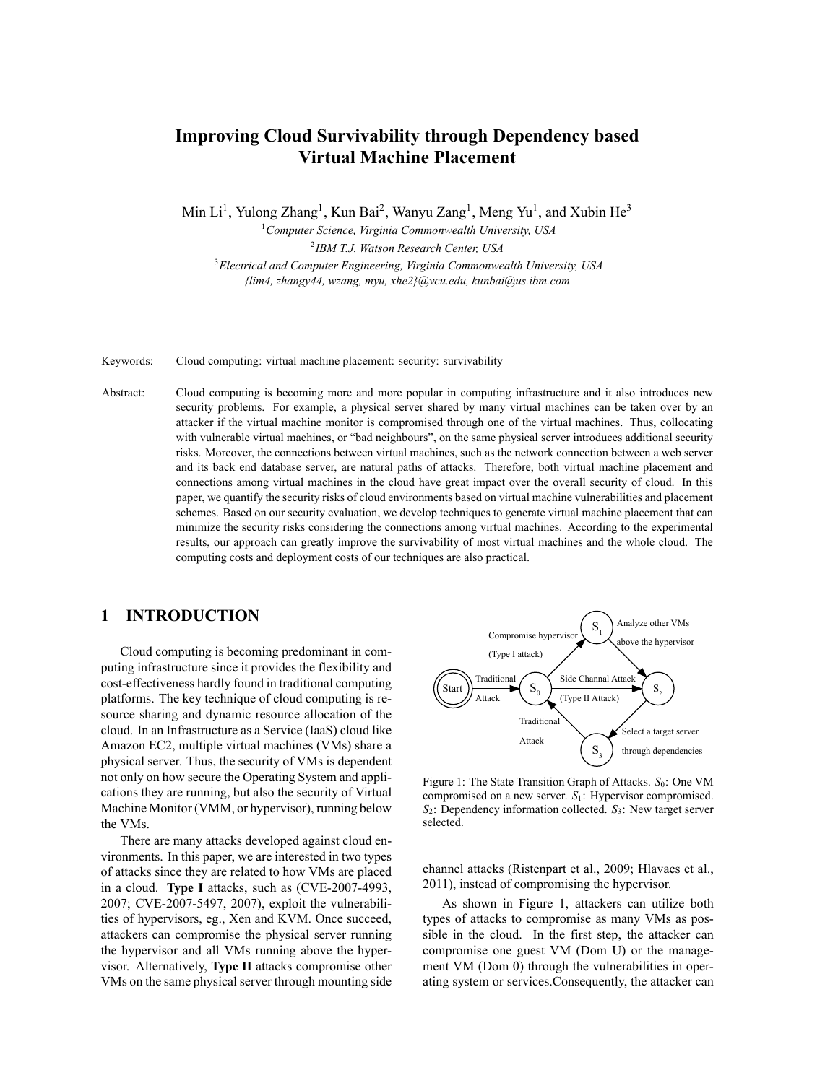# **Improving Cloud Survivability through Dependency based Virtual Machine Placement**

Min Li<sup>1</sup>, Yulong Zhang<sup>1</sup>, Kun Bai<sup>2</sup>, Wanyu Zang<sup>1</sup>, Meng Yu<sup>1</sup>, and Xubin He<sup>3</sup>

<sup>1</sup>*Computer Science, Virginia Commonwealth University, USA* 2 *IBM T.J. Watson Research Center, USA*

<sup>3</sup>*Electrical and Computer Engineering, Virginia Commonwealth University, USA {lim4, zhangy44, wzang, myu, xhe2}@vcu.edu, kunbai@us.ibm.com*

Keywords: Cloud computing: virtual machine placement: security: survivability

Abstract: Cloud computing is becoming more and more popular in computing infrastructure and it also introduces new security problems. For example, a physical server shared by many virtual machines can be taken over by an attacker if the virtual machine monitor is compromised through one of the virtual machines. Thus, collocating with vulnerable virtual machines, or "bad neighbours", on the same physical server introduces additional security risks. Moreover, the connections between virtual machines, such as the network connection between a web server and its back end database server, are natural paths of attacks. Therefore, both virtual machine placement and connections among virtual machines in the cloud have great impact over the overall security of cloud. In this paper, we quantify the security risks of cloud environments based on virtual machine vulnerabilities and placement schemes. Based on our security evaluation, we develop techniques to generate virtual machine placement that can minimize the security risks considering the connections among virtual machines. According to the experimental results, our approach can greatly improve the survivability of most virtual machines and the whole cloud. The computing costs and deployment costs of our techniques are also practical.

# **1 INTRODUCTION**

Cloud computing is becoming predominant in computing infrastructure since it provides the flexibility and cost-effectiveness hardly found in traditional computing platforms. The key technique of cloud computing is resource sharing and dynamic resource allocation of the cloud. In an Infrastructure as a Service (IaaS) cloud like Amazon EC2, multiple virtual machines (VMs) share a physical server. Thus, the security of VMs is dependent not only on how secure the Operating System and applications they are running, but also the security of Virtual Machine Monitor (VMM, or hypervisor), running below the VMs.

There are many attacks developed against cloud environments. In this paper, we are interested in two types of attacks since they are related to how VMs are placed in a cloud. **Type I** attacks, such as (CVE-2007-4993, 2007; CVE-2007-5497, 2007), exploit the vulnerabilities of hypervisors, eg., Xen and KVM. Once succeed, attackers can compromise the physical server running the hypervisor and all VMs running above the hypervisor. Alternatively, **Type II** attacks compromise other VMs on the same physical server through mounting side



Figure 1: The State Transition Graph of Attacks. *S*<sub>0</sub>: One VM compromised on a new server. *S*1: Hypervisor compromised. *S*2: Dependency information collected. *S*3: New target server selected.

channel attacks (Ristenpart et al., 2009; Hlavacs et al., 2011), instead of compromising the hypervisor.

As shown in Figure 1, attackers can utilize both types of attacks to compromise as many VMs as possible in the cloud. In the first step, the attacker can compromise one guest VM (Dom U) or the management VM (Dom 0) through the vulnerabilities in operating system or services.Consequently, the attacker can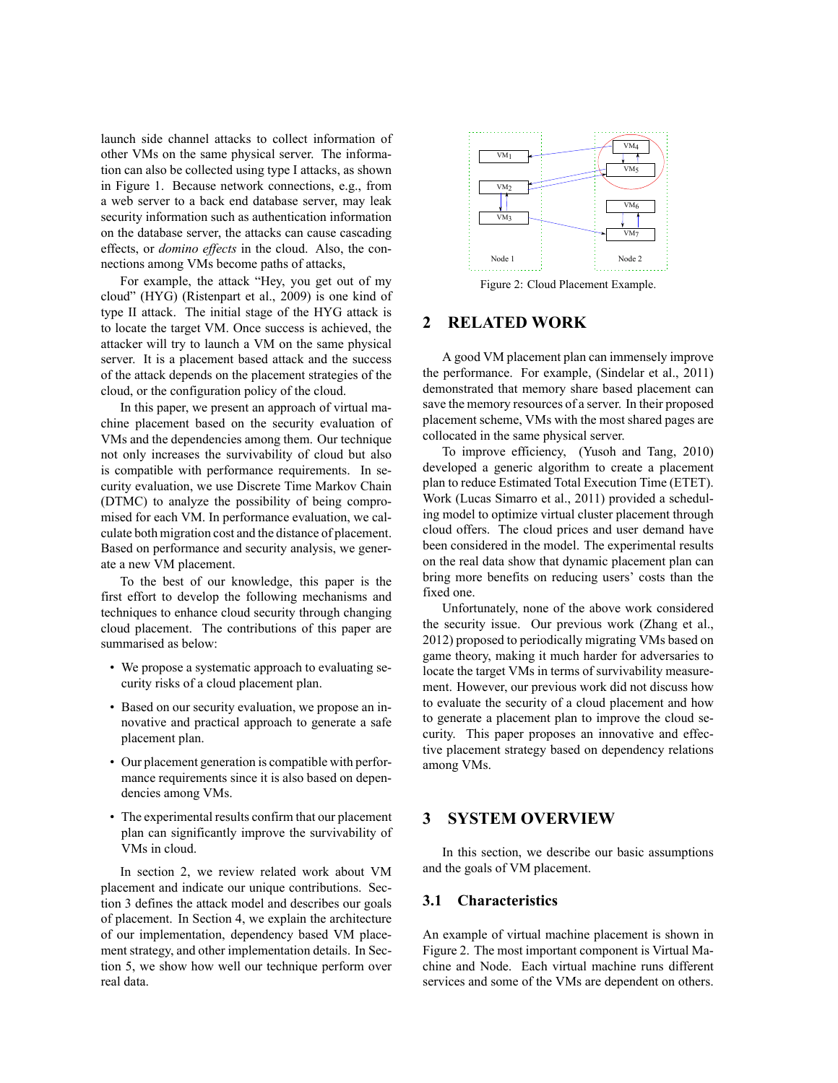launch side channel attacks to collect information of other VMs on the same physical server. The information can also be collected using type I attacks, as shown in Figure 1. Because network connections, e.g., from a web server to a back end database server, may leak security information such as authentication information on the database server, the attacks can cause cascading effects, or *domino effects* in the cloud. Also, the connections among VMs become paths of attacks,

For example, the attack "Hey, you get out of my cloud" (HYG) (Ristenpart et al., 2009) is one kind of type II attack. The initial stage of the HYG attack is to locate the target VM. Once success is achieved, the attacker will try to launch a VM on the same physical server. It is a placement based attack and the success of the attack depends on the placement strategies of the cloud, or the configuration policy of the cloud.

In this paper, we present an approach of virtual machine placement based on the security evaluation of VMs and the dependencies among them. Our technique not only increases the survivability of cloud but also is compatible with performance requirements. In security evaluation, we use Discrete Time Markov Chain (DTMC) to analyze the possibility of being compromised for each VM. In performance evaluation, we calculate both migration cost and the distance of placement. Based on performance and security analysis, we generate a new VM placement.

To the best of our knowledge, this paper is the first effort to develop the following mechanisms and techniques to enhance cloud security through changing cloud placement. The contributions of this paper are summarised as below:

- We propose a systematic approach to evaluating security risks of a cloud placement plan.
- Based on our security evaluation, we propose an innovative and practical approach to generate a safe placement plan.
- Our placement generation is compatible with performance requirements since it is also based on dependencies among VMs.
- The experimental results confirm that our placement plan can significantly improve the survivability of VMs in cloud.

In section 2, we review related work about VM placement and indicate our unique contributions. Section 3 defines the attack model and describes our goals of placement. In Section 4, we explain the architecture of our implementation, dependency based VM placement strategy, and other implementation details. In Section 5, we show how well our technique perform over real data.



Figure 2: Cloud Placement Example.

# **2 RELATED WORK**

A good VM placement plan can immensely improve the performance. For example, (Sindelar et al., 2011) demonstrated that memory share based placement can save the memory resources of a server. In their proposed placement scheme, VMs with the most shared pages are collocated in the same physical server.

To improve efficiency, (Yusoh and Tang, 2010) developed a generic algorithm to create a placement plan to reduce Estimated Total Execution Time (ETET). Work (Lucas Simarro et al., 2011) provided a scheduling model to optimize virtual cluster placement through cloud offers. The cloud prices and user demand have been considered in the model. The experimental results on the real data show that dynamic placement plan can bring more benefits on reducing users' costs than the fixed one.

Unfortunately, none of the above work considered the security issue. Our previous work (Zhang et al., 2012) proposed to periodically migrating VMs based on game theory, making it much harder for adversaries to locate the target VMs in terms of survivability measurement. However, our previous work did not discuss how to evaluate the security of a cloud placement and how to generate a placement plan to improve the cloud security. This paper proposes an innovative and effective placement strategy based on dependency relations among VMs.

## **3 SYSTEM OVERVIEW**

In this section, we describe our basic assumptions and the goals of VM placement.

# **3.1 Characteristics**

An example of virtual machine placement is shown in Figure 2. The most important component is Virtual Machine and Node. Each virtual machine runs different services and some of the VMs are dependent on others.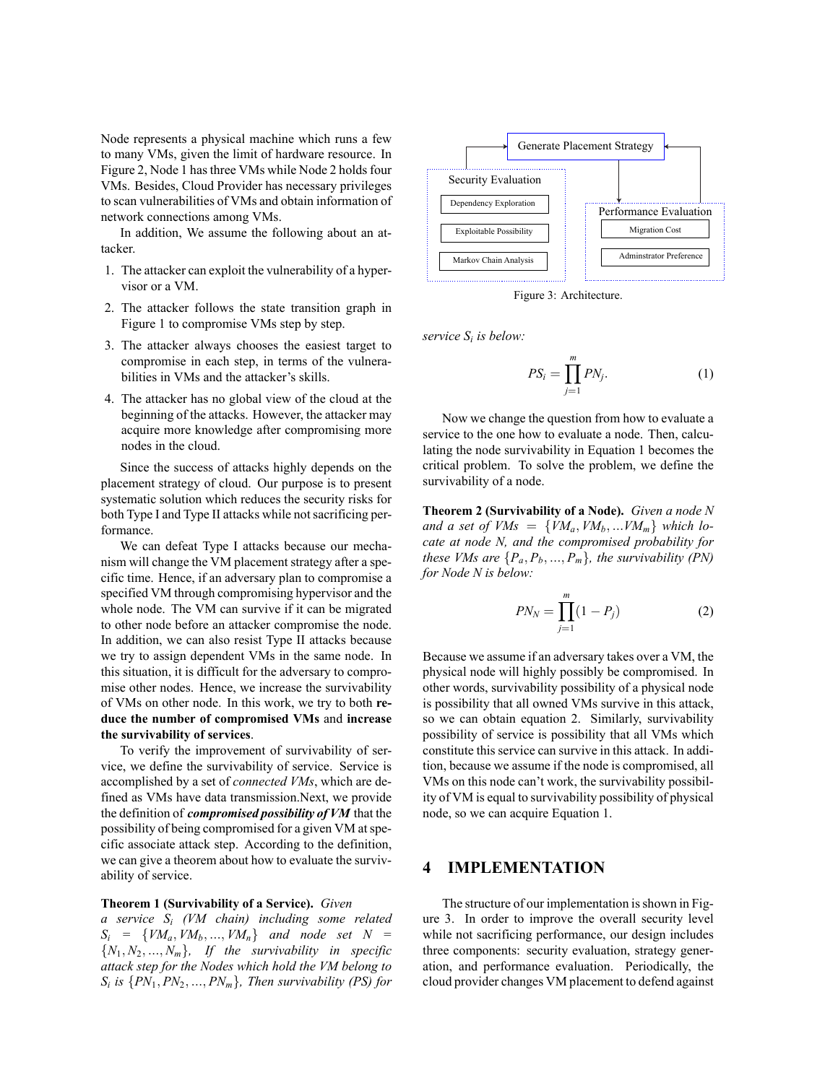Node represents a physical machine which runs a few to many VMs, given the limit of hardware resource. In Figure 2, Node 1 has three VMs while Node 2 holds four VMs. Besides, Cloud Provider has necessary privileges to scan vulnerabilities of VMs and obtain information of network connections among VMs.

In addition, We assume the following about an attacker.

- 1. The attacker can exploit the vulnerability of a hypervisor or a VM.
- 2. The attacker follows the state transition graph in Figure 1 to compromise VMs step by step.
- 3. The attacker always chooses the easiest target to compromise in each step, in terms of the vulnerabilities in VMs and the attacker's skills.
- 4. The attacker has no global view of the cloud at the beginning of the attacks. However, the attacker may acquire more knowledge after compromising more nodes in the cloud.

Since the success of attacks highly depends on the placement strategy of cloud. Our purpose is to present systematic solution which reduces the security risks for both Type I and Type II attacks while not sacrificing performance.

We can defeat Type I attacks because our mechanism will change the VM placement strategy after a specific time. Hence, if an adversary plan to compromise a specified VM through compromising hypervisor and the whole node. The VM can survive if it can be migrated to other node before an attacker compromise the node. In addition, we can also resist Type II attacks because we try to assign dependent VMs in the same node. In this situation, it is difficult for the adversary to compromise other nodes. Hence, we increase the survivability of VMs on other node. In this work, we try to both **reduce the number of compromised VMs** and **increase the survivability of services**.

To verify the improvement of survivability of service, we define the survivability of service. Service is accomplished by a set of *connected VMs*, which are defined as VMs have data transmission.Next, we provide the definition of *compromised possibility of VM* that the possibility of being compromised for a given VM at specific associate attack step. According to the definition, we can give a theorem about how to evaluate the survivability of service.

## **Theorem 1 (Survivability of a Service).** *Given*

*a service S<sup>i</sup> (VM chain) including some related*  $S_i$  = { $VM_a$ ,  $VM_b$ , ...,  $VM_n$ } *and node set*  $N =$  ${N_1, N_2, ..., N_m}$ *, If the survivability in specific attack step for the Nodes which hold the VM belong to Si is {PN*1*, PN*2*, ..., PNm}, Then survivability (PS) for*



Figure 3: Architecture.

*service S<sup>i</sup> is below:*

$$
PS_i = \prod_{j=1}^{m} PN_j.
$$
 (1)

Now we change the question from how to evaluate a service to the one how to evaluate a node. Then, calculating the node survivability in Equation 1 becomes the critical problem. To solve the problem, we define the survivability of a node.

**Theorem 2 (Survivability of a Node).** *Given a node N and a set of VMs* =  $\{VM_a, VM_b, ...VM_m\}$  *which locate at node N, and the compromised probability for these VMs are*  $\{P_a, P_b, ..., P_m\}$ *, the survivability (PN) for Node N is below:*

$$
PN_N = \prod_{j=1}^m (1 - P_j)
$$
 (2)

Because we assume if an adversary takes over a VM, the physical node will highly possibly be compromised. In other words, survivability possibility of a physical node is possibility that all owned VMs survive in this attack, so we can obtain equation 2. Similarly, survivability possibility of service is possibility that all VMs which constitute this service can survive in this attack. In addition, because we assume if the node is compromised, all VMs on this node can't work, the survivability possibility of VM is equal to survivability possibility of physical node, so we can acquire Equation 1.

# **4 IMPLEMENTATION**

The structure of our implementation is shown in Figure 3. In order to improve the overall security level while not sacrificing performance, our design includes three components: security evaluation, strategy generation, and performance evaluation. Periodically, the cloud provider changes VM placement to defend against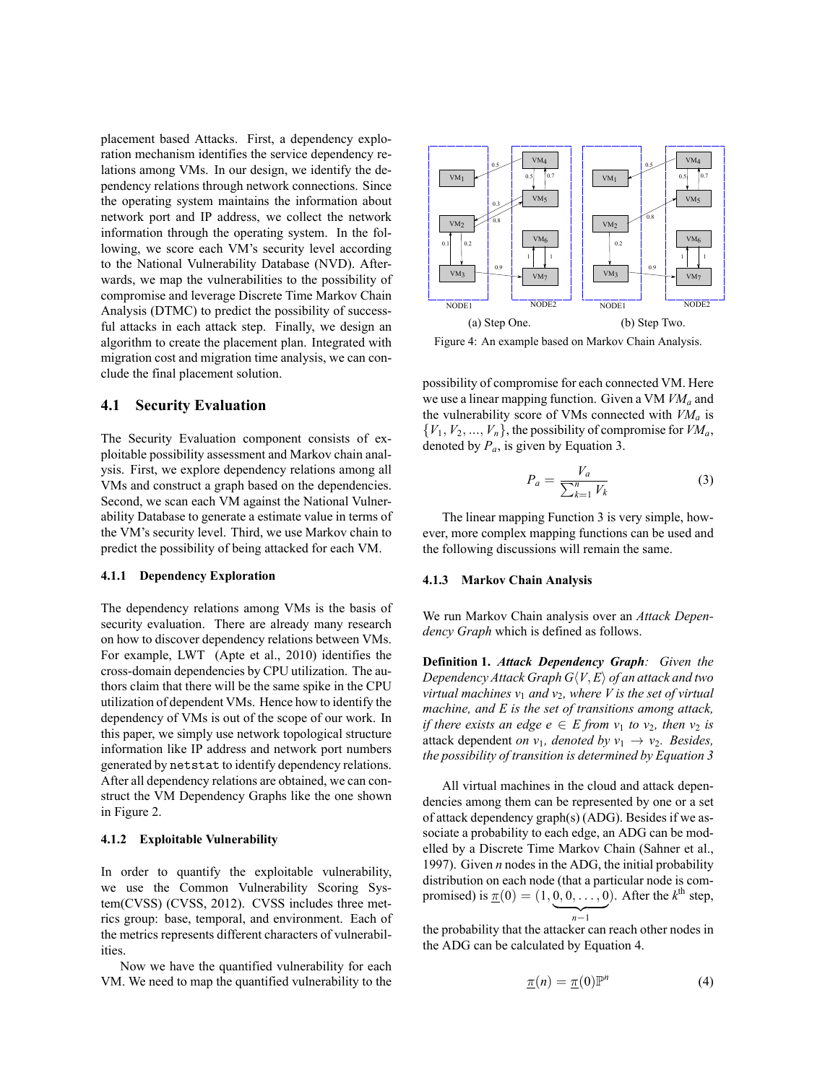placement based Attacks. First, a dependency exploration mechanism identifies the service dependency relations among VMs. In our design, we identify the dependency relations through network connections. Since the operating system maintains the information about network port and IP address, we collect the network information through the operating system. In the following, we score each VM's security level according to the National Vulnerability Database (NVD). Afterwards, we map the vulnerabilities to the possibility of compromise and leverage Discrete Time Markov Chain Analysis (DTMC) to predict the possibility of successful attacks in each attack step. Finally, we design an algorithm to create the placement plan. Integrated with migration cost and migration time analysis, we can conclude the final placement solution.

## **4.1 Security Evaluation**

The Security Evaluation component consists of exploitable possibility assessment and Markov chain analysis. First, we explore dependency relations among all VMs and construct a graph based on the dependencies. Second, we scan each VM against the National Vulnerability Database to generate a estimate value in terms of the VM's security level. Third, we use Markov chain to predict the possibility of being attacked for each VM.

#### **4.1.1 Dependency Exploration**

The dependency relations among VMs is the basis of security evaluation. There are already many research on how to discover dependency relations between VMs. For example, LWT (Apte et al., 2010) identifies the cross-domain dependencies by CPU utilization. The authors claim that there will be the same spike in the CPU utilization of dependent VMs. Hence how to identify the dependency of VMs is out of the scope of our work. In this paper, we simply use network topological structure information like IP address and network port numbers generated by netstat to identify dependency relations. After all dependency relations are obtained, we can construct the VM Dependency Graphs like the one shown in Figure 2.

#### **4.1.2 Exploitable Vulnerability**

In order to quantify the exploitable vulnerability, we use the Common Vulnerability Scoring System(CVSS) (CVSS, 2012). CVSS includes three metrics group: base, temporal, and environment. Each of the metrics represents different characters of vulnerabilities.

Now we have the quantified vulnerability for each VM. We need to map the quantified vulnerability to the



Figure 4: An example based on Markov Chain Analysis.

possibility of compromise for each connected VM. Here we use a linear mapping function. Given a VM *VM<sup>a</sup>* and the vulnerability score of VMs connected with *VM<sup>a</sup>* is  $\{V_1, V_2, ..., V_n\}$ , the possibility of compromise for  $VM_a$ , denoted by  $P_a$ , is given by Equation 3.

$$
P_a = \frac{V_a}{\sum_{k=1}^n V_k} \tag{3}
$$

The linear mapping Function 3 is very simple, however, more complex mapping functions can be used and the following discussions will remain the same.

#### **4.1.3 Markov Chain Analysis**

We run Markov Chain analysis over an *Attack Dependency Graph* which is defined as follows.

**Definition 1.** *Attack Dependency Graph: Given the Dependency Attack Graph*  $G\langle V, E \rangle$  *of an attack and two virtual machines*  $v_1$  *and*  $v_2$ *, where V is the set of virtual machine, and E is the set of transitions among attack, if there exists an edge e*  $\in$  *E from v*<sub>1</sub> *to v*<sub>2</sub>*, then v*<sub>2</sub> *is* attack dependent *on*  $v_1$ *, denoted by*  $v_1 \rightarrow v_2$ *. Besides, the possibility of transition is determined by Equation 3*

All virtual machines in the cloud and attack dependencies among them can be represented by one or a set of attack dependency graph(s) (ADG). Besides if we associate a probability to each edge, an ADG can be modelled by a Discrete Time Markov Chain (Sahner et al., 1997). Given *n* nodes in the ADG, the initial probability distribution on each node (that a particular node is compromised) is  $\pi(0) = (1, 0, 0, \dots, 0)$ . After the  $k^{\text{th}}$  step, | {z } *n−*1

the probability that the attacker can reach other nodes in the ADG can be calculated by Equation 4.

$$
\underline{\pi}(n) = \underline{\pi}(0)\mathbb{P}^n \tag{4}
$$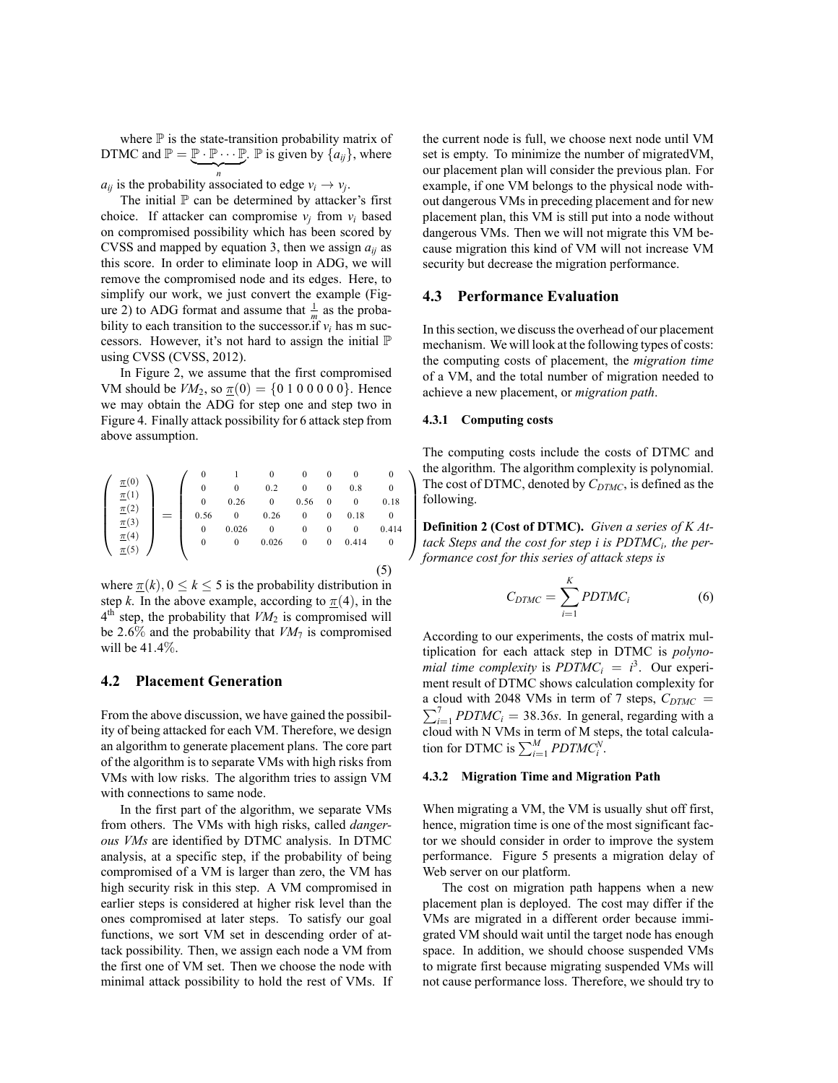where  $\mathbb P$  is the state-transition probability matrix of DTMC and  $\mathbb{P} = \mathbb{P} \cdot \mathbb{P} \cdots \mathbb{P}$ .  $\mathbb{P}$  is given by  $\{a_{ij}\}\$ , where  $\overline{\phantom{a}}$ 

*n*<sub>*i*</sub> is the probability associated to edge  $v_i \rightarrow v_j$ .

The initial  $P$  can be determined by attacker's first choice. If attacker can compromise  $v_i$  from  $v_i$  based on compromised possibility which has been scored by CVSS and mapped by equation 3, then we assign  $a_{ij}$  as this score. In order to eliminate loop in ADG, we will remove the compromised node and its edges. Here, to simplify our work, we just convert the example (Figure 2) to ADG format and assume that  $\frac{1}{m}$  as the probability to each transition to the successor.if  $v_i$  has m successors. However, it's not hard to assign the initial  $\mathbb P$ using CVSS (CVSS, 2012).

In Figure 2, we assume that the first compromised VM should be  $VM_2$ , so  $\pi(0) = \{0 1 0 0 0 0 0\}$ . Hence we may obtain the ADG for step one and step two in Figure 4. Finally attack possibility for 6 attack step from above assumption.

|                         |  |  | 0        |       |          | 0        | 0                | $\Omega$ | $\Omega$ |
|-------------------------|--|--|----------|-------|----------|----------|------------------|----------|----------|
| $\frac{\pi(0)}{\pi(1)}$ |  |  | $\theta$ | 0     | 0.2      | $\theta$ | $\bf{0}$         | 0.8      | 0        |
|                         |  |  | $\theta$ | 0.26  | 0        | 0.56     | $\bf{0}$         | $\theta$ | 0.18     |
| $\pi(2)$                |  |  | 0.56     |       | 0.26     | $\theta$ | $\boldsymbol{0}$ | 0.18     | $\Omega$ |
| $\underline{\pi}(3)$    |  |  | 0        | 0.026 | $\Omega$ | 0        | 0                | $\Omega$ | 0.414    |
| $\frac{\pi(4)}{\pi(5)}$ |  |  | $\theta$ | 0     | 0.026    | $\theta$ | $\boldsymbol{0}$ | 0.414    | $\Omega$ |
|                         |  |  |          |       |          |          |                  |          |          |
|                         |  |  |          |       |          |          |                  |          |          |

where  $\pi(k)$ ,  $0 \le k \le 5$  is the probability distribution in step *k*. In the above example, according to  $\pi(4)$ , in the  $4<sup>th</sup>$  step, the probability that  $VM<sub>2</sub>$  is compromised will be 2.6% and the probability that  $VM_7$  is compromised will be 41*.*4%.

### **4.2 Placement Generation**

From the above discussion, we have gained the possibility of being attacked for each VM. Therefore, we design an algorithm to generate placement plans. The core part of the algorithm is to separate VMs with high risks from VMs with low risks. The algorithm tries to assign VM with connections to same node.

In the first part of the algorithm, we separate VMs from others. The VMs with high risks, called *dangerous VMs* are identified by DTMC analysis. In DTMC analysis, at a specific step, if the probability of being compromised of a VM is larger than zero, the VM has high security risk in this step. A VM compromised in earlier steps is considered at higher risk level than the ones compromised at later steps. To satisfy our goal functions, we sort VM set in descending order of attack possibility. Then, we assign each node a VM from the first one of VM set. Then we choose the node with minimal attack possibility to hold the rest of VMs. If the current node is full, we choose next node until VM set is empty. To minimize the number of migratedVM, our placement plan will consider the previous plan. For example, if one VM belongs to the physical node without dangerous VMs in preceding placement and for new placement plan, this VM is still put into a node without dangerous VMs. Then we will not migrate this VM because migration this kind of VM will not increase VM security but decrease the migration performance.

### **4.3 Performance Evaluation**

In this section, we discuss the overhead of our placement mechanism. We will look at the following types of costs: the computing costs of placement, the *migration time* of a VM, and the total number of migration needed to achieve a new placement, or *migration path*.

#### **4.3.1 Computing costs**

 $\setminus$ 

 $\begin{array}{c} \hline \end{array}$ 

The computing costs include the costs of DTMC and the algorithm. The algorithm complexity is polynomial. The cost of DTMC, denoted by *CDTMC*, is defined as the following.

**Definition 2 (Cost of DTMC).** *Given a series of K Attack Steps and the cost for step i is PDTMC<sup>i</sup> , the performance cost for this series of attack steps is*

$$
C_{DTMC} = \sum_{i=1}^{K} PDTMC_i \tag{6}
$$

According to our experiments, the costs of matrix multiplication for each attack step in DTMC is *polynomial time complexity* is  $PDTMC_i = i^3$ . Our experiment result of DTMC shows calculation complexity for a cloud with 2048 VMs in term of 7 steps,  $C_{DTMC}$  =  $\sum_{i=1}^{7} PDTMC_i = 38.36s$ . In general, regarding with a cloud with N VMs in term of M steps, the total calculation for DTMC is  $\sum_{i=1}^{M} PDTMC_i^N$ .

### **4.3.2 Migration Time and Migration Path**

When migrating a VM, the VM is usually shut off first, hence, migration time is one of the most significant factor we should consider in order to improve the system performance. Figure 5 presents a migration delay of Web server on our platform.

The cost on migration path happens when a new placement plan is deployed. The cost may differ if the VMs are migrated in a different order because immigrated VM should wait until the target node has enough space. In addition, we should choose suspended VMs to migrate first because migrating suspended VMs will not cause performance loss. Therefore, we should try to